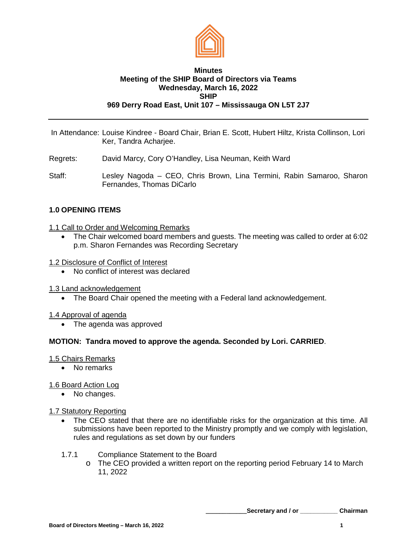

## **Minutes Meeting of the SHIP Board of Directors via Teams Wednesday, March 16, 2022 SHIP 969 Derry Road East, Unit 107 – Mississauga ON L5T 2J7**

- In Attendance: Louise Kindree Board Chair, Brian E. Scott, Hubert Hiltz, Krista Collinson, Lori Ker, Tandra Acharjee.
- Regrets: David Marcy, Cory O'Handley, Lisa Neuman, Keith Ward
- Staff: Lesley Nagoda CEO, Chris Brown, Lina Termini, Rabin Samaroo, Sharon Fernandes, Thomas DiCarlo

# **1.0 OPENING ITEMS**

- 1.1 Call to Order and Welcoming Remarks
	- The Chair welcomed board members and guests. The meeting was called to order at 6:02 p.m. Sharon Fernandes was Recording Secretary
- 1.2 Disclosure of Conflict of Interest
	- No conflict of interest was declared
- 1.3 Land acknowledgement
	- The Board Chair opened the meeting with a Federal land acknowledgement.

### 1.4 Approval of agenda

• The agenda was approved

### **MOTION: Tandra moved to approve the agenda. Seconded by Lori. CARRIED**.

### 1.5 Chairs Remarks

• No remarks

### 1.6 Board Action Log

• No changes.

### 1.7 Statutory Reporting

- The CEO stated that there are no identifiable risks for the organization at this time. All submissions have been reported to the Ministry promptly and we comply with legislation, rules and regulations as set down by our funders
- 1.7.1 Compliance Statement to the Board
	- o The CEO provided a written report on the reporting period February 14 to March 11, 2022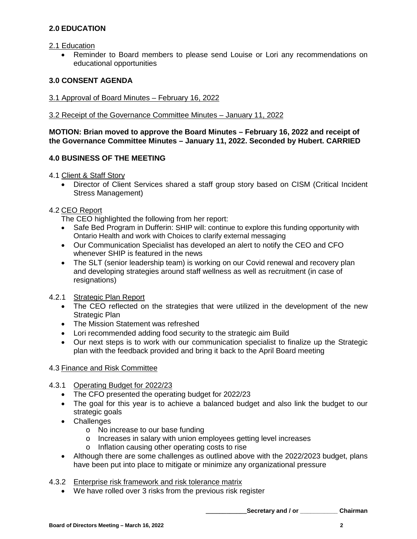# **2.0 EDUCATION**

## 2.1 Education

• Reminder to Board members to please send Louise or Lori any recommendations on educational opportunities

# **3.0 CONSENT AGENDA**

- 3.1 Approval of Board Minutes February 16, 2022
- 3.2 Receipt of the Governance Committee Minutes January 11, 2022

## **MOTION: Brian moved to approve the Board Minutes – February 16, 2022 and receipt of the Governance Committee Minutes – January 11, 2022. Seconded by Hubert. CARRIED**

# **4.0 BUSINESS OF THE MEETING**

4.1 Client & Staff Story

• Director of Client Services shared a staff group story based on CISM (Critical Incident Stress Management)

## 4.2 CEO Report

The CEO highlighted the following from her report:

- Safe Bed Program in Dufferin: SHIP will: continue to explore this funding opportunity with Ontario Health and work with Choices to clarify external messaging
- Our Communication Specialist has developed an alert to notify the CEO and CFO whenever SHIP is featured in the news
- The SLT (senior leadership team) is working on our Covid renewal and recovery plan and developing strategies around staff wellness as well as recruitment (in case of resignations)

# 4.2.1 Strategic Plan Report

- The CEO reflected on the strategies that were utilized in the development of the new Strategic Plan
- The Mission Statement was refreshed
- Lori recommended adding food security to the strategic aim Build
- Our next steps is to work with our communication specialist to finalize up the Strategic plan with the feedback provided and bring it back to the April Board meeting

# 4.3 Finance and Risk Committee

# 4.3.1 Operating Budget for 2022/23

- The CFO presented the operating budget for 2022/23
- The goal for this year is to achieve a balanced budget and also link the budget to our strategic goals
- Challenges
	- o No increase to our base funding
	- o Increases in salary with union employees getting level increases
	- o Inflation causing other operating costs to rise
- Although there are some challenges as outlined above with the 2022/2023 budget, plans have been put into place to mitigate or minimize any organizational pressure

### 4.3.2 Enterprise risk framework and risk tolerance matrix

• We have rolled over 3 risks from the previous risk register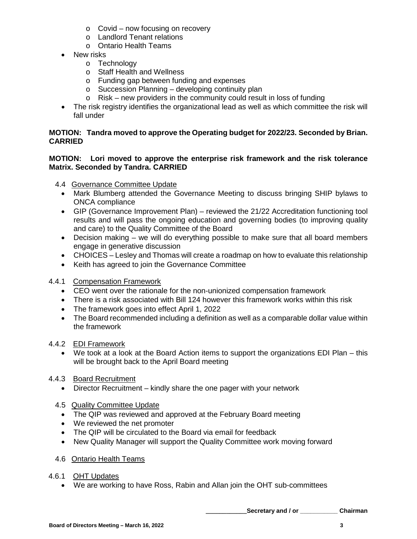- $\circ$  Covid now focusing on recovery
- o Landlord Tenant relations
- o Ontario Health Teams
- New risks
	- o Technology
	- o Staff Health and Wellness
	- o Funding gap between funding and expenses
	- o Succession Planning developing continuity plan
	- o Risk new providers in the community could result in loss of funding
- The risk registry identifies the organizational lead as well as which committee the risk will fall under

# **MOTION: Tandra moved to approve the Operating budget for 2022/23. Seconded by Brian. CARRIED**

## **MOTION: Lori moved to approve the enterprise risk framework and the risk tolerance Matrix. Seconded by Tandra. CARRIED**

- 4.4 Governance Committee Update
	- Mark Blumberg attended the Governance Meeting to discuss bringing SHIP bylaws to ONCA compliance
	- GIP (Governance Improvement Plan) reviewed the 21/22 Accreditation functioning tool results and will pass the ongoing education and governing bodies (to improving quality and care) to the Quality Committee of the Board
	- Decision making we will do everything possible to make sure that all board members engage in generative discussion
	- CHOICES Lesley and Thomas will create a roadmap on how to evaluate this relationship
	- Keith has agreed to join the Governance Committee

# 4.4.1 Compensation Framework

- CEO went over the rationale for the non-unionized compensation framework
- There is a risk associated with Bill 124 however this framework works within this risk
- The framework goes into effect April 1, 2022
- The Board recommended including a definition as well as a comparable dollar value within the framework

# 4.4.2 EDI Framework

• We took at a look at the Board Action items to support the organizations EDI Plan – this will be brought back to the April Board meeting

# 4.4.3 Board Recruitment

• Director Recruitment – kindly share the one pager with your network

# 4.5 Quality Committee Update

- The QIP was reviewed and approved at the February Board meeting
- We reviewed the net promoter
- The QIP will be circulated to the Board via email for feedback
- New Quality Manager will support the Quality Committee work moving forward
- 4.6 Ontario Health Teams

# 4.6.1 OHT Updates

• We are working to have Ross, Rabin and Allan join the OHT sub-committees